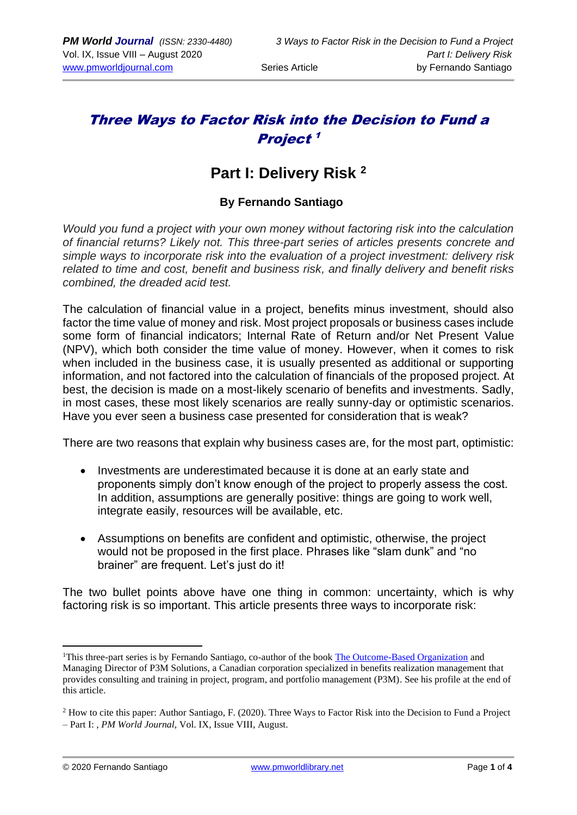## Three Ways to Factor Risk into the Decision to Fund a Project 1

# **Part I: Delivery Risk <sup>2</sup>**

### **By Fernando Santiago**

*Would you fund a project with your own money without factoring risk into the calculation of financial returns? Likely not. This three-part series of articles presents concrete and simple ways to incorporate risk into the evaluation of a project investment: delivery risk related to time and cost, benefit and business risk, and finally delivery and benefit risks combined, the dreaded acid test.*

The calculation of financial value in a project, benefits minus investment, should also factor the time value of money and risk. Most project proposals or business cases include some form of financial indicators; Internal Rate of Return and/or Net Present Value (NPV), which both consider the time value of money. However, when it comes to risk when included in the business case, it is usually presented as additional or supporting information, and not factored into the calculation of financials of the proposed project. At best, the decision is made on a most-likely scenario of benefits and investments. Sadly, in most cases, these most likely scenarios are really sunny-day or optimistic scenarios. Have you ever seen a business case presented for consideration that is weak?

There are two reasons that explain why business cases are, for the most part, optimistic:

- Investments are underestimated because it is done at an early state and proponents simply don't know enough of the project to properly assess the cost. In addition, assumptions are generally positive: things are going to work well, integrate easily, resources will be available, etc.
- Assumptions on benefits are confident and optimistic, otherwise, the project would not be proposed in the first place. Phrases like "slam dunk" and "no brainer" are frequent. Let's just do it!

The two bullet points above have one thing in common: uncertainty, which is why factoring risk is so important. This article presents three ways to incorporate risk:

<sup>&</sup>lt;sup>1</sup>This three-part series is by Fernando Santiago, co-author of the book [The Outcome-Based Organization](https://www.amazon.com/Outcome-Driven-Organization-project-portfolio-espresso-ebook/dp/B08CCGHDGB) and Managing Director of P3M Solutions, a Canadian corporation specialized in benefits realization management that provides consulting and training in project, program, and portfolio management (P3M). See his profile at the end of this article.

<sup>2</sup> How to cite this paper: Author Santiago, F. (2020). Three Ways to Factor Risk into the Decision to Fund a Project – Part I: , *PM World Journal,* Vol. IX, Issue VIII, August.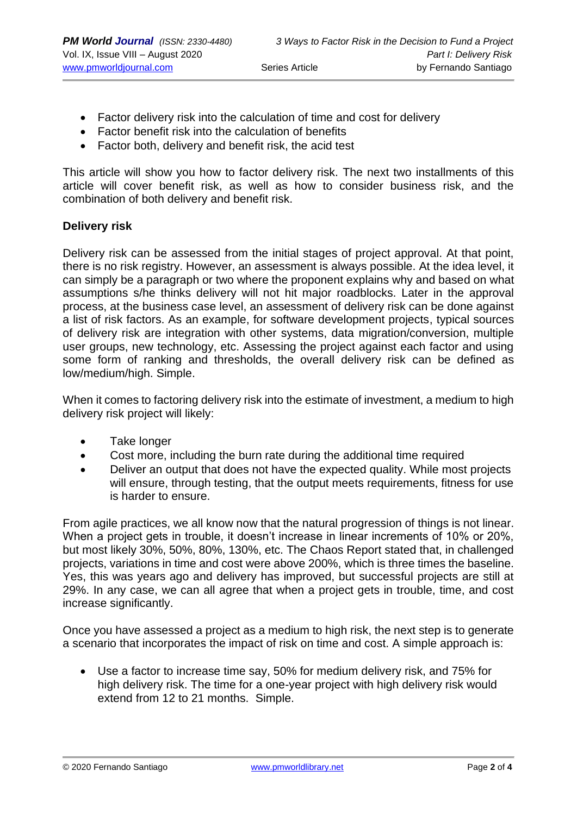- Factor delivery risk into the calculation of time and cost for delivery
- Factor benefit risk into the calculation of benefits
- Factor both, delivery and benefit risk, the acid test

This article will show you how to factor delivery risk. The next two installments of this article will cover benefit risk, as well as how to consider business risk, and the combination of both delivery and benefit risk.

#### **Delivery risk**

Delivery risk can be assessed from the initial stages of project approval. At that point, there is no risk registry. However, an assessment is always possible. At the idea level, it can simply be a paragraph or two where the proponent explains why and based on what assumptions s/he thinks delivery will not hit major roadblocks. Later in the approval process, at the business case level, an assessment of delivery risk can be done against a list of risk factors. As an example, for software development projects, typical sources of delivery risk are integration with other systems, data migration/conversion, multiple user groups, new technology, etc. Assessing the project against each factor and using some form of ranking and thresholds, the overall delivery risk can be defined as low/medium/high. Simple.

When it comes to factoring delivery risk into the estimate of investment, a medium to high delivery risk project will likely:

- Take longer
- Cost more, including the burn rate during the additional time required
- Deliver an output that does not have the expected quality. While most projects will ensure, through testing, that the output meets requirements, fitness for use is harder to ensure.

From agile practices, we all know now that the natural progression of things is not linear. When a project gets in trouble, it doesn't increase in linear increments of 10% or 20%, but most likely 30%, 50%, 80%, 130%, etc. The Chaos Report stated that, in challenged projects, variations in time and cost were above 200%, which is three times the baseline. Yes, this was years ago and delivery has improved, but successful projects are still at 29%. In any case, we can all agree that when a project gets in trouble, time, and cost increase significantly.

Once you have assessed a project as a medium to high risk, the next step is to generate a scenario that incorporates the impact of risk on time and cost. A simple approach is:

• Use a factor to increase time say, 50% for medium delivery risk, and 75% for high delivery risk. The time for a one-year project with high delivery risk would extend from 12 to 21 months. Simple.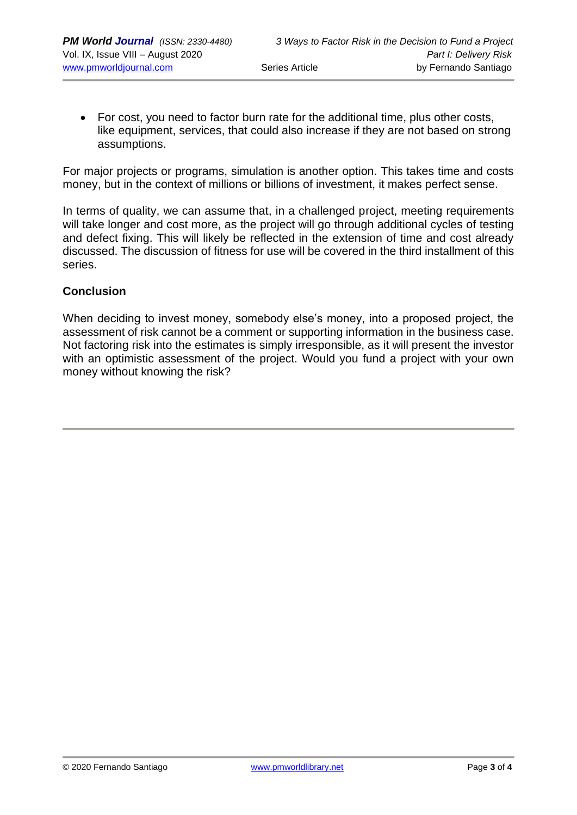• For cost, you need to factor burn rate for the additional time, plus other costs, like equipment, services, that could also increase if they are not based on strong assumptions.

For major projects or programs, simulation is another option. This takes time and costs money, but in the context of millions or billions of investment, it makes perfect sense.

In terms of quality, we can assume that, in a challenged project, meeting requirements will take longer and cost more, as the project will go through additional cycles of testing and defect fixing. This will likely be reflected in the extension of time and cost already discussed. The discussion of fitness for use will be covered in the third installment of this series.

#### **Conclusion**

When deciding to invest money, somebody else's money, into a proposed project, the assessment of risk cannot be a comment or supporting information in the business case. Not factoring risk into the estimates is simply irresponsible, as it will present the investor with an optimistic assessment of the project. Would you fund a project with your own money without knowing the risk?